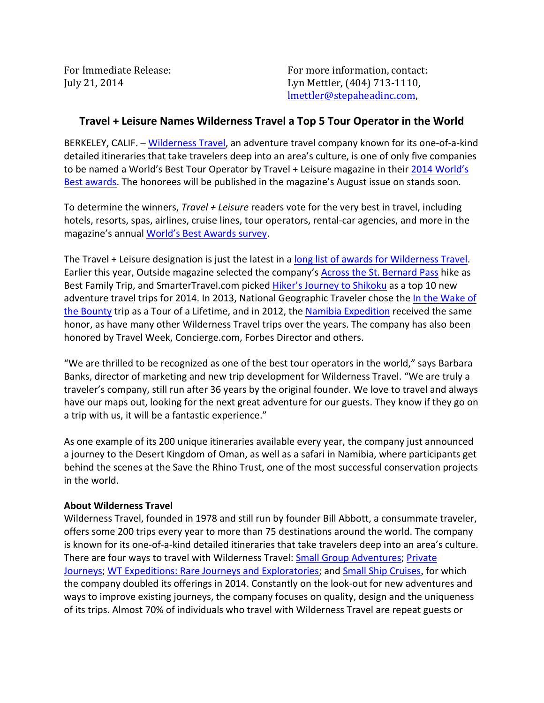For Immediate Release: The South Communist Release: For more information, contact: July 21, 2014 Lyn Mettler, (404) 713-1110, lmettler@stepaheadinc.com,

## **Travel + Leisure Names Wilderness Travel a Top 5 Tour Operator in the World**

BERKELEY, CALIF. - Wilderness Travel, an adventure travel company known for its one-of-a-kind detailed itineraries that take travelers deep into an area's culture, is one of only five companies to be named a World's Best Tour Operator by Travel + Leisure magazine in their [2014 World's](http://www.travelandleisure.com/worlds-best-cruises-2014-winners-list#top-tour-operators)  [Best awards.](http://www.travelandleisure.com/worlds-best-cruises-2014-winners-list#top-tour-operators) The honorees will be published in the magazine's August issue on stands soon.

To determine the winners, *Travel + Leisure* readers vote for the very best in travel, including hotels, resorts, spas, airlines, cruise lines, tour operators, rental-car agencies, and more in the magazine's annual [World's Best Awards survey.](http://www.travelandleisure.com/worlds-best-2014-hp)

The Travel + Leisure designation is just the latest in a [long list of awards for Wilderness Travel.](http://www.wildernesstravel.com/about/awards) Earlier this year, Outside magazine selected the company's [Across the St. Bernard Pass](http://www.wildernesstravel.com/trip/switzerland/st-bernard-pass-gran-paradiso-hiking-tour) hike as Best Family Trip, and SmarterTravel.com picked [Hiker's Journey to Shikoku](http://www.wildernesstravel.com/trip/japan/kobo-daishi-matsuyama-osaka-kochi-hiking-tour) as a top 10 new adventure travel trips for 2014. In 2013, National Geographic Traveler chose the In the Wake of [the Bounty](http://www.wildernesstravel.com/trip/tahiti/easter-island-pitcairn-rangiroa-tuamotus) trip as a Tour of a Lifetime, and in 2012, the [Namibia Expedition](http://www.wildernesstravel.com/trip/namibia/okonjima-etosha-himba-sossusvlei-damaraland-safari) received the same honor, as have many other Wilderness Travel trips over the years. The company has also been honored by Travel Week, Concierge.com, Forbes Director and others.

"We are thrilled to be recognized as one of the best tour operators in the world," says Barbara Banks, director of marketing and new trip development for Wilderness Travel. "We are truly a traveler's company, still run after 36 years by the original founder. We love to travel and always have our maps out, looking for the next great adventure for our guests. They know if they go on a trip with us, it will be a fantastic experience."

As one example of its 200 unique itineraries available every year, the company just announced a journey to the Desert Kingdom of Oman, as well as a safari in Namibia, where participants get behind the scenes at the Save the Rhino Trust, one of the most successful conservation projects in the world.

## **About Wilderness Travel**

Wilderness Travel, founded in 1978 and still run by founder Bill Abbott, a consummate traveler, offers some 200 trips every year to more than 75 destinations around the world. The company is known for its one-of-a-kind detailed itineraries that take travelers deep into an area's culture. There are four ways to travel with Wilderness Travel: [Small Group Adventures;](http://www.wildernesstravel.com/our-trips/small-group-adventures) [Private](http://www.wildernesstravel.com/our-trips/private-journeys)  [Journeys;](http://www.wildernesstravel.com/our-trips/private-journeys) [WT Expeditions: Rare Journeys and Exploratories;](http://www.wildernesstravel.com/our-trips/wt-expeditions) and [Small Ship Cruises](http://www.wildernesstravel.com/our-trips/cruise-collection), for which the company doubled its offerings in 2014. Constantly on the look-out for new adventures and ways to improve existing journeys, the company focuses on quality, design and the uniqueness of its trips. Almost 70% of individuals who travel with Wilderness Travel are repeat guests or